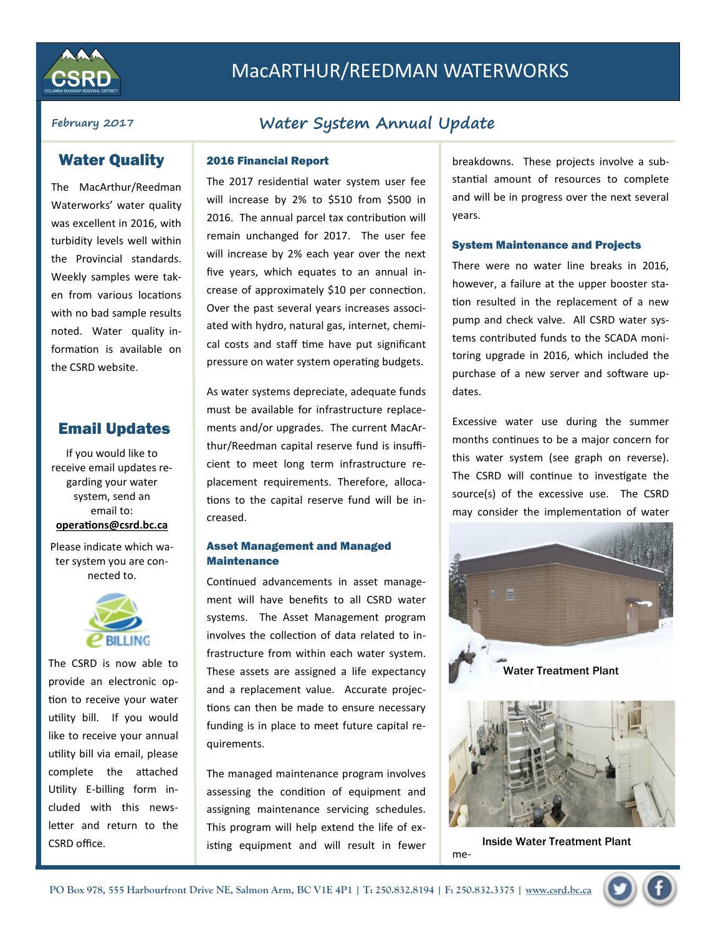

# MacARTHUR/REEDMAN WATERWORKS

## Water Quality

The MacArthur/Reedman Waterworks' water quality was excellent in 2016, with turbidity levels well within the Provincial standards. Weekly samples were taken from various locations with no bad sample results noted. Water quality information is available on the CSRD website.

## Email Updates

If you would like to receive email updates regarding your water system, send an email to: **operations@csrd.bc.ca**

Please indicate which water system you are connected to.



The CSRD is now able to provide an electronic option to receive your water utility bill. If you would like to receive your annual utility bill via email, please complete the attached Utility E-billing form included with this newsletter and return to the CSRD office.

## **February 2017 Water System Annual Update**

#### 2016 Financial Report

The 2017 residential water system user fee will increase by 2% to \$510 from \$500 in 2016. The annual parcel tax contribution will remain unchanged for 2017. The user fee will increase by 2% each year over the next five years, which equates to an annual increase of approximately \$10 per connection. Over the past several years increases associated with hydro, natural gas, internet, chemical costs and staff time have put significant pressure on water system operating budgets.

As water systems depreciate, adequate funds must be available for infrastructure replacements and/or upgrades. The current MacArthur/Reedman capital reserve fund is insufficient to meet long term infrastructure replacement requirements. Therefore, allocations to the capital reserve fund will be increased.

### Asset Management and Managed **Maintenance**

Continued advancements in asset management will have benefits to all CSRD water systems. The Asset Management program involves the collection of data related to infrastructure from within each water system. These assets are assigned a life expectancy and a replacement value. Accurate projections can then be made to ensure necessary funding is in place to meet future capital requirements.

The managed maintenance program involves assessing the condition of equipment and assigning maintenance servicing schedules. This program will help extend the life of existing equipment and will result in fewer

breakdowns. These projects involve a substantial amount of resources to complete and will be in progress over the next several years.

#### System Maintenance and Projects

There were no water line breaks in 2016, however, a failure at the upper booster station resulted in the replacement of a new pump and check valve. All CSRD water systems contributed funds to the SCADA monitoring upgrade in 2016, which included the purchase of a new server and software updates.

Excessive water use during the summer months continues to be a major concern for this water system (see graph on reverse). The CSRD will continue to investigate the source(s) of the excessive use. The CSRD may consider the implementation of water





me-Inside Water Treatment Plant